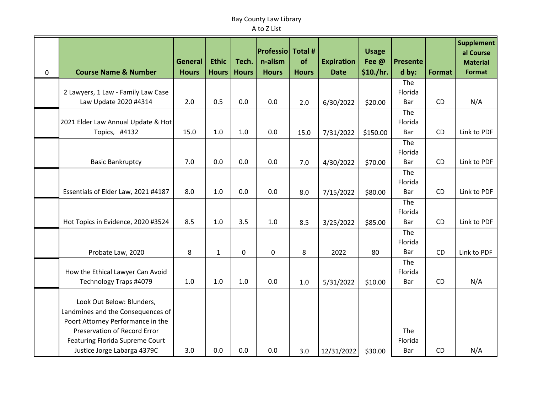## Bay County Law Library A to Z List

|   |                                                             | <b>General</b> | <b>Ethic</b> | Tech.        | <b>Professio Total #</b><br>n-alism | of           | <b>Expiration</b> | <b>Usage</b><br>Fee @ | <b>Presente</b> |               | <b>Supplement</b><br>al Course<br><b>Material</b> |
|---|-------------------------------------------------------------|----------------|--------------|--------------|-------------------------------------|--------------|-------------------|-----------------------|-----------------|---------------|---------------------------------------------------|
| 0 | <b>Course Name &amp; Number</b>                             | <b>Hours</b>   | <b>Hours</b> | <b>Hours</b> | <b>Hours</b>                        | <b>Hours</b> | <b>Date</b>       | \$10./hr.             | d by:           | <b>Format</b> | <b>Format</b>                                     |
|   |                                                             |                |              |              |                                     |              |                   |                       | The             |               |                                                   |
|   | 2 Lawyers, 1 Law - Family Law Case<br>Law Update 2020 #4314 | 2.0            | 0.5          | 0.0          | 0.0                                 |              |                   |                       | Florida<br>Bar  | CD            | N/A                                               |
|   |                                                             |                |              |              |                                     | 2.0          | 6/30/2022         | \$20.00               | The             |               |                                                   |
|   | 2021 Elder Law Annual Update & Hot                          |                |              |              |                                     |              |                   |                       | Florida         |               |                                                   |
|   | Topics, #4132                                               | 15.0           | 1.0          | 1.0          | 0.0                                 | 15.0         | 7/31/2022         | \$150.00              | Bar             | CD            | Link to PDF                                       |
|   |                                                             |                |              |              |                                     |              |                   |                       | The             |               |                                                   |
|   |                                                             |                |              |              |                                     |              |                   |                       | Florida         |               |                                                   |
|   | <b>Basic Bankruptcy</b>                                     | 7.0            | 0.0          | 0.0          | 0.0                                 | 7.0          | 4/30/2022         | \$70.00               | Bar<br>The      | CD            | Link to PDF                                       |
|   |                                                             |                |              |              |                                     |              |                   |                       | Florida         |               |                                                   |
|   | Essentials of Elder Law, 2021 #4187                         | 8.0            | 1.0          | 0.0          | 0.0                                 | 8.0          | 7/15/2022         | \$80.00               | Bar             | CD            | Link to PDF                                       |
|   |                                                             |                |              |              |                                     |              |                   |                       | The             |               |                                                   |
|   |                                                             |                |              |              |                                     |              |                   |                       | Florida         |               |                                                   |
|   | Hot Topics in Evidence, 2020 #3524                          | 8.5            | 1.0          | 3.5          | 1.0                                 | 8.5          | 3/25/2022         | \$85.00               | Bar             | CD            | Link to PDF                                       |
|   |                                                             |                |              |              |                                     |              |                   |                       | The<br>Florida  |               |                                                   |
|   | Probate Law, 2020                                           | 8              | $\mathbf{1}$ | 0            | $\pmb{0}$                           | 8            | 2022              | 80                    | Bar             | CD            | Link to PDF                                       |
|   |                                                             |                |              |              |                                     |              |                   |                       | The             |               |                                                   |
|   | How the Ethical Lawyer Can Avoid                            |                |              |              |                                     |              |                   |                       | Florida         |               |                                                   |
|   | Technology Traps #4079                                      | 1.0            | 1.0          | 1.0          | 0.0                                 | 1.0          | 5/31/2022         | \$10.00               | Bar             | <b>CD</b>     | N/A                                               |
|   | Look Out Below: Blunders,                                   |                |              |              |                                     |              |                   |                       |                 |               |                                                   |
|   | Landmines and the Consequences of                           |                |              |              |                                     |              |                   |                       |                 |               |                                                   |
|   | Poort Attorney Performance in the                           |                |              |              |                                     |              |                   |                       |                 |               |                                                   |
|   | Preservation of Record Error                                |                |              |              |                                     |              |                   |                       | The             |               |                                                   |
|   | Featuring Florida Supreme Court                             |                |              |              |                                     |              |                   |                       | Florida         |               |                                                   |
|   | Justice Jorge Labarga 4379C                                 | 3.0            | 0.0          | 0.0          | 0.0                                 | 3.0          | 12/31/2022        | \$30.00               | Bar             | <b>CD</b>     | N/A                                               |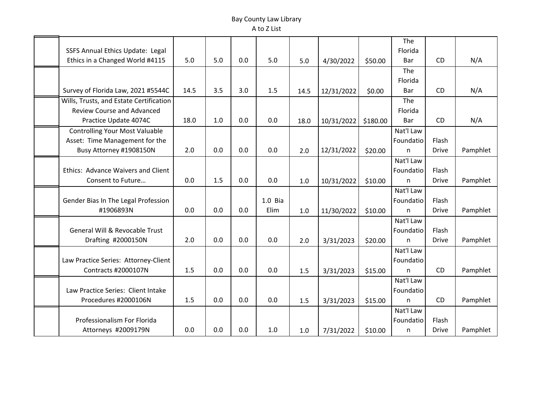## Bay County Law Library A to Z List

|                                           |      |     |     |                    |       |            |          | The          |              |          |
|-------------------------------------------|------|-----|-----|--------------------|-------|------------|----------|--------------|--------------|----------|
| SSFS Annual Ethics Update: Legal          |      |     |     |                    |       |            |          | Florida      |              |          |
| Ethics in a Changed World #4115           | 5.0  | 5.0 | 0.0 | 5.0                | 5.0   | 4/30/2022  | \$50.00  | Bar          | CD           | N/A      |
|                                           |      |     |     |                    |       |            |          | The          |              |          |
|                                           |      |     |     |                    |       |            |          | Florida      |              |          |
| Survey of Florida Law, 2021 #5544C        | 14.5 | 3.5 | 3.0 | 1.5                | 14.5  | 12/31/2022 | \$0.00   | Bar          | CD           | N/A      |
| Wills, Trusts, and Estate Certification   |      |     |     |                    |       |            |          | The          |              |          |
| <b>Review Course and Advanced</b>         |      |     |     |                    |       |            |          | Florida      |              |          |
| Practice Update 4074C                     | 18.0 | 1.0 | 0.0 | 0.0                | 18.0  | 10/31/2022 | \$180.00 | Bar          | CD           | N/A      |
| <b>Controlling Your Most Valuable</b>     |      |     |     |                    |       |            |          | Nat'l Law    |              |          |
| Asset: Time Management for the            |      |     |     |                    |       |            |          | Foundatio    | Flash        |          |
| Busy Attorney #1908150N                   | 2.0  | 0.0 | 0.0 | 0.0                | 2.0   | 12/31/2022 | \$20.00  | n            | <b>Drive</b> | Pamphlet |
|                                           |      |     |     |                    |       |            |          | Nat'l Law    |              |          |
| Ethics: Advance Waivers and Client        |      |     |     |                    |       |            |          | Foundatio    | Flash        |          |
| Consent to Future                         | 0.0  | 1.5 | 0.0 | 0.0                | 1.0   | 10/31/2022 | \$10.00  | n            | <b>Drive</b> | Pamphlet |
|                                           |      |     |     |                    |       |            |          | Nat'l Law    |              |          |
| Gender Bias In The Legal Profession       |      |     |     | 1.0 <sub>Bia</sub> |       |            |          | Foundatio    | Flash        |          |
| #1906893N                                 | 0.0  | 0.0 | 0.0 | Elim               | $1.0$ | 11/30/2022 | \$10.00  | $\mathsf{n}$ | <b>Drive</b> | Pamphlet |
|                                           |      |     |     |                    |       |            |          | Nat'l Law    |              |          |
| <b>General Will &amp; Revocable Trust</b> |      |     |     |                    |       |            |          | Foundatio    | Flash        |          |
| Drafting #2000150N                        | 2.0  | 0.0 | 0.0 | 0.0                | 2.0   | 3/31/2023  | \$20.00  | n            | <b>Drive</b> | Pamphlet |
|                                           |      |     |     |                    |       |            |          | Nat'l Law    |              |          |
| Law Practice Series: Attorney-Client      |      |     |     |                    |       |            |          | Foundatio    |              |          |
| <b>Contracts #2000107N</b>                | 1.5  | 0.0 | 0.0 | 0.0                | 1.5   | 3/31/2023  | \$15.00  | n            | CD           | Pamphlet |
|                                           |      |     |     |                    |       |            |          | Nat'l Law    |              |          |
| Law Practice Series: Client Intake        |      |     |     |                    |       |            |          | Foundatio    |              |          |
| Procedures #2000106N                      | 1.5  | 0.0 | 0.0 | 0.0                | 1.5   | 3/31/2023  | \$15.00  | n.           | CD           | Pamphlet |
|                                           |      |     |     |                    |       |            |          | Nat'l Law    |              |          |
| Professionalism For Florida               |      |     |     |                    |       |            |          | Foundatio    | Flash        |          |
| Attorneys #2009179N                       | 0.0  | 0.0 | 0.0 | 1.0                | 1.0   | 7/31/2022  | \$10.00  | n            | Drive        | Pamphlet |